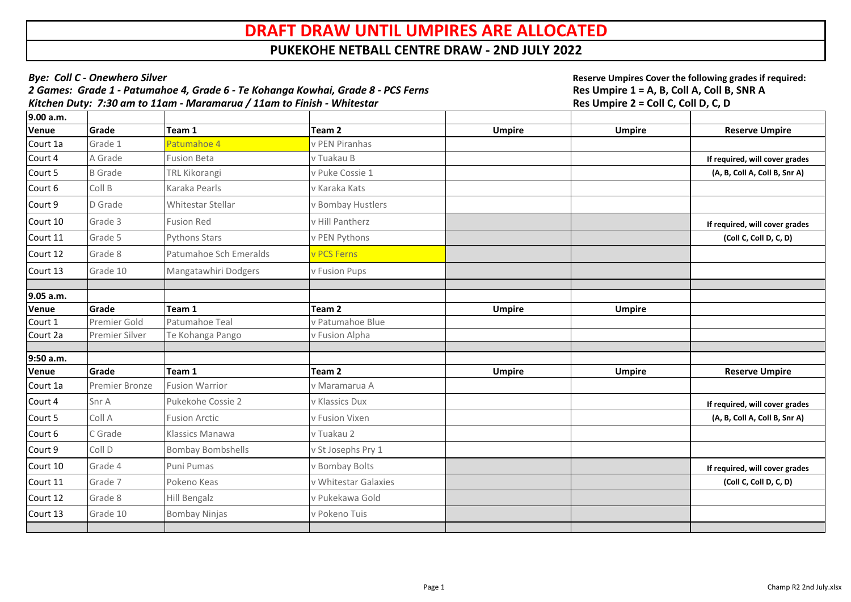| <b>Bye: Coll C - Onewhero Silver</b><br>2 Games: Grade 1 - Patumahoe 4, Grade 6 - Te Kohanga Kowhai, Grade 8 - PCS Ferns<br>Kitchen Duty: 7:30 am to 11am - Maramarua / 11am to Finish - Whitestar |                       |                          |                      | Reserve Umpires Cover the following grades if required:<br>Res Umpire 1 = A, B, Coll A, Coll B, SNR A<br>Res Umpire 2 = Coll C, Coll D, C, D |               |                                |
|----------------------------------------------------------------------------------------------------------------------------------------------------------------------------------------------------|-----------------------|--------------------------|----------------------|----------------------------------------------------------------------------------------------------------------------------------------------|---------------|--------------------------------|
| 9.00 a.m.                                                                                                                                                                                          |                       |                          |                      |                                                                                                                                              |               |                                |
| Venue                                                                                                                                                                                              | Grade                 | Team 1                   | Team <sub>2</sub>    | <b>Umpire</b>                                                                                                                                | <b>Umpire</b> | <b>Reserve Umpire</b>          |
| Court 1a                                                                                                                                                                                           | Grade 1               | Patumahoe 4              | v PEN Piranhas       |                                                                                                                                              |               |                                |
| Court 4                                                                                                                                                                                            | A Grade               | <b>Fusion Beta</b>       | v Tuakau B           |                                                                                                                                              |               | If required, will cover grades |
| Court 5                                                                                                                                                                                            | <b>B</b> Grade        | <b>TRL Kikorangi</b>     | v Puke Cossie 1      |                                                                                                                                              |               | (A, B, Coll A, Coll B, Snr A)  |
| Court 6                                                                                                                                                                                            | Coll B                | Karaka Pearls            | v Karaka Kats        |                                                                                                                                              |               |                                |
| Court 9                                                                                                                                                                                            | D Grade               | <b>Whitestar Stellar</b> | v Bombay Hustlers    |                                                                                                                                              |               |                                |
| Court 10                                                                                                                                                                                           | Grade 3               | <b>Fusion Red</b>        | v Hill Pantherz      |                                                                                                                                              |               | If required, will cover grades |
| Court 11                                                                                                                                                                                           | Grade 5               | <b>Pythons Stars</b>     | v PEN Pythons        |                                                                                                                                              |               | (Coll C, Coll D, C, D)         |
| Court 12                                                                                                                                                                                           | Grade 8               | Patumahoe Sch Emeralds   | v PCS Ferns          |                                                                                                                                              |               |                                |
| Court 13                                                                                                                                                                                           | Grade 10              | Mangatawhiri Dodgers     | <b>v Fusion Pups</b> |                                                                                                                                              |               |                                |
| 9.05 a.m.                                                                                                                                                                                          |                       |                          |                      |                                                                                                                                              |               |                                |
| Venue                                                                                                                                                                                              | Grade                 | Team 1                   | Team <sub>2</sub>    | <b>Umpire</b>                                                                                                                                | <b>Umpire</b> |                                |
| Court $1$                                                                                                                                                                                          | Premier Gold          | Patumahoe Teal           | v Patumahoe Blue     |                                                                                                                                              |               |                                |
| Court 2a                                                                                                                                                                                           | <b>Premier Silver</b> | Te Kohanga Pango         | v Fusion Alpha       |                                                                                                                                              |               |                                |
|                                                                                                                                                                                                    |                       |                          |                      |                                                                                                                                              |               |                                |
| 9:50 a.m.<br>Venue                                                                                                                                                                                 | Grade                 | Team 1                   | Team <sub>2</sub>    | <b>Umpire</b>                                                                                                                                | <b>Umpire</b> | <b>Reserve Umpire</b>          |
| Court 1a                                                                                                                                                                                           | <b>Premier Bronze</b> | <b>Fusion Warrior</b>    | v Maramarua A        |                                                                                                                                              |               |                                |
| Court 4                                                                                                                                                                                            | Snr A                 | Pukekohe Cossie 2        | v Klassics Dux       |                                                                                                                                              |               |                                |
|                                                                                                                                                                                                    |                       |                          |                      |                                                                                                                                              |               | If required, will cover grades |
| Court 5                                                                                                                                                                                            | Coll A                | <b>Fusion Arctic</b>     | v Fusion Vixen       |                                                                                                                                              |               | (A, B, Coll A, Coll B, Snr A)  |
| Court 6                                                                                                                                                                                            | C Grade               | Klassics Manawa          | v Tuakau 2           |                                                                                                                                              |               |                                |
| Court 9                                                                                                                                                                                            | Coll D                | <b>Bombay Bombshells</b> | v St Josephs Pry 1   |                                                                                                                                              |               |                                |
| Court 10                                                                                                                                                                                           | Grade 4               | Puni Pumas               | v Bombay Bolts       |                                                                                                                                              |               | If required, will cover grades |
| Court 11                                                                                                                                                                                           | Grade 7               | Pokeno Keas              | v Whitestar Galaxies |                                                                                                                                              |               | (Coll C, Coll D, C, D)         |
| Court 12                                                                                                                                                                                           | Grade 8               | Hill Bengalz             | v Pukekawa Gold      |                                                                                                                                              |               |                                |
| Court 13                                                                                                                                                                                           | Grade 10              | <b>Bombay Ninjas</b>     | v Pokeno Tuis        |                                                                                                                                              |               |                                |
|                                                                                                                                                                                                    |                       |                          |                      |                                                                                                                                              |               |                                |

## **DRAFT DRAW UNTIL UMPIRES ARE ALLOCATED**

## **PUKEKOHE NETBALL CENTRE DRAW - 2ND JULY 2022**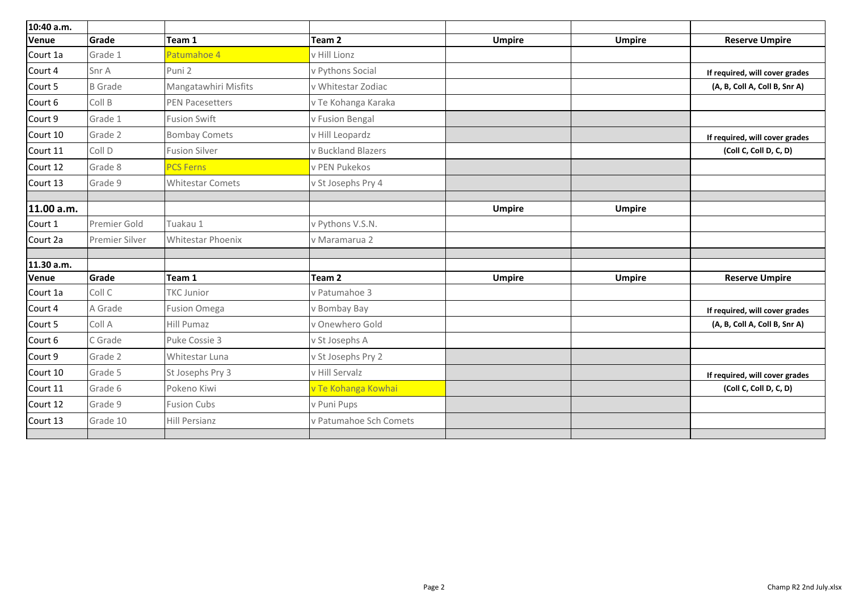| 10:40 a.m. |                       |                          |                        |               |               |                                |
|------------|-----------------------|--------------------------|------------------------|---------------|---------------|--------------------------------|
| Venue      | Grade                 | Team 1                   | Team <sub>2</sub>      | <b>Umpire</b> | <b>Umpire</b> | <b>Reserve Umpire</b>          |
| Court 1a   | Grade 1               | Patumahoe 4              | v Hill Lionz           |               |               |                                |
| Court 4    | Snr A                 | Puni <sub>2</sub>        | v Pythons Social       |               |               | If required, will cover grades |
| Court 5    | <b>B</b> Grade        | Mangatawhiri Misfits     | v Whitestar Zodiac     |               |               | (A, B, Coll A, Coll B, Snr A)  |
| Court 6    | Coll B                | <b>PEN Pacesetters</b>   | v Te Kohanga Karaka    |               |               |                                |
| Court 9    | Grade 1               | <b>Fusion Swift</b>      | v Fusion Bengal        |               |               |                                |
| Court 10   | Grade 2               | <b>Bombay Comets</b>     | v Hill Leopardz        |               |               | If required, will cover grades |
| Court 11   | Coll D                | <b>Fusion Silver</b>     | v Buckland Blazers     |               |               | (Coll C, Coll D, C, D)         |
| Court 12   | Grade 8               | <b>PCS Ferns</b>         | v PEN Pukekos          |               |               |                                |
| Court 13   | Grade 9               | <b>Whitestar Comets</b>  | v St Josephs Pry 4     |               |               |                                |
| 11.00 a.m. |                       |                          |                        | <b>Umpire</b> | <b>Umpire</b> |                                |
| Court 1    | <b>Premier Gold</b>   | Tuakau 1                 | v Pythons V.S.N.       |               |               |                                |
| Court 2a   | <b>Premier Silver</b> | <b>Whitestar Phoenix</b> | v Maramarua 2          |               |               |                                |
| 11.30 a.m. |                       |                          |                        |               |               |                                |
| Venue      | Grade                 | Team 1                   | Team 2                 | <b>Umpire</b> | <b>Umpire</b> | <b>Reserve Umpire</b>          |
| Court 1a   | Coll C                | <b>TKC Junior</b>        | v Patumahoe 3          |               |               |                                |
| Court 4    | A Grade               | <b>Fusion Omega</b>      | v Bombay Bay           |               |               | If required, will cover grades |
| Court 5    | Coll A                | Hill Pumaz               | v Onewhero Gold        |               |               | (A, B, Coll A, Coll B, Snr A)  |
| Court 6    | C Grade               | Puke Cossie 3            | v St Josephs A         |               |               |                                |
| Court 9    | Grade 2               | Whitestar Luna           | v St Josephs Pry 2     |               |               |                                |
| Court 10   | Grade 5               | St Josephs Pry 3         | v Hill Servalz         |               |               | If required, will cover grades |
| Court 11   | Grade 6               | Pokeno Kiwi              | v Te Kohanga Kowhai    |               |               | (Coll C, Coll D, C, D)         |
| Court 12   | Grade 9               | <b>Fusion Cubs</b>       | v Puni Pups            |               |               |                                |
| Court 13   | Grade 10              | <b>Hill Persianz</b>     | v Patumahoe Sch Comets |               |               |                                |
|            |                       |                          |                        |               |               |                                |

| e | <b>Reserve Umpire</b>          |
|---|--------------------------------|
|   |                                |
|   | If required, will cover grades |
|   | (A, B, Coll A, Coll B, Snr A)  |
|   |                                |
|   |                                |
|   | If required, will cover grades |
|   | (Coll C, Coll D, C, D)         |
|   |                                |
|   |                                |
|   |                                |
| e |                                |
|   |                                |
|   |                                |
|   |                                |
|   |                                |
| e | <b>Reserve Umpire</b>          |
|   |                                |
|   | If required, will cover grades |
|   | (A, B, Coll A, Coll B, Snr A)  |
|   |                                |
|   |                                |
|   | If required, will cover grades |
|   | (Coll C, Coll D, C, D)         |
|   |                                |
|   |                                |
|   |                                |
|   |                                |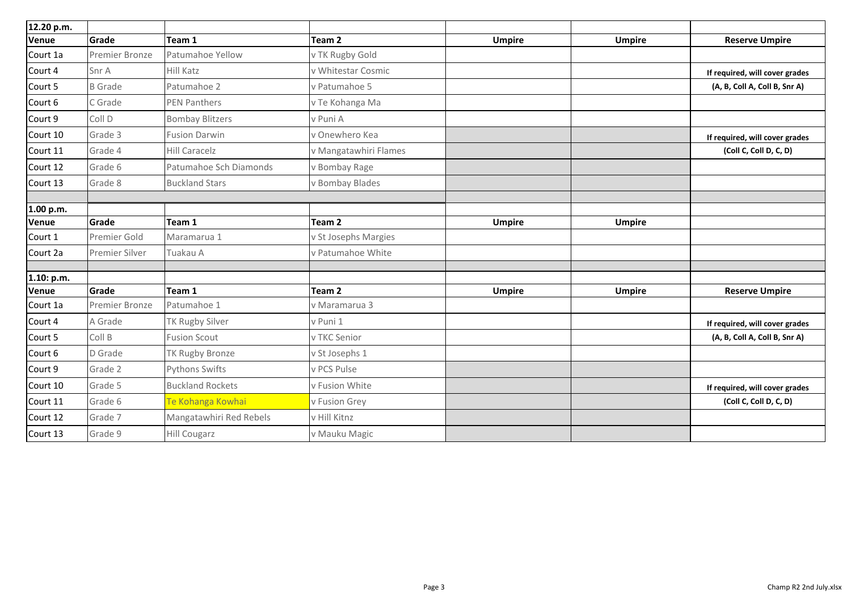| 12.20 p.m.   |                       |                         |                       |               |               |                                |
|--------------|-----------------------|-------------------------|-----------------------|---------------|---------------|--------------------------------|
| <b>Venue</b> | Grade                 | Team 1                  | Team 2                | <b>Umpire</b> | <b>Umpire</b> | <b>Reserve Umpire</b>          |
| Court 1a     | <b>Premier Bronze</b> | <b>Patumahoe Yellow</b> | v TK Rugby Gold       |               |               |                                |
| Court 4      | Snr A                 | <b>Hill Katz</b>        | v Whitestar Cosmic    |               |               | If required, will cover grades |
| Court 5      | <b>B</b> Grade        | Patumahoe 2             | v Patumahoe 5         |               |               | (A, B, Coll A, Coll B, Snr A)  |
| Court 6      | C Grade               | <b>PEN Panthers</b>     | v Te Kohanga Ma       |               |               |                                |
| Court 9      | Coll D                | <b>Bombay Blitzers</b>  | v Puni A              |               |               |                                |
| Court 10     | Grade 3               | <b>Fusion Darwin</b>    | v Onewhero Kea        |               |               | If required, will cover grades |
| Court 11     | Grade 4               | <b>Hill Caracelz</b>    | v Mangatawhiri Flames |               |               | (Coll C, Coll D, C, D)         |
| Court 12     | Grade 6               | Patumahoe Sch Diamonds  | v Bombay Rage         |               |               |                                |
| Court 13     | Grade 8               | <b>Buckland Stars</b>   | v Bombay Blades       |               |               |                                |
|              |                       |                         |                       |               |               |                                |
| 1.00 p.m.    |                       |                         |                       |               |               |                                |
| <b>Venue</b> | Grade                 | Team 1                  | Team <sub>2</sub>     | <b>Umpire</b> | <b>Umpire</b> |                                |
| Court 1      | <b>Premier Gold</b>   | Maramarua 1             | v St Josephs Margies  |               |               |                                |
| Court 2a     | <b>Premier Silver</b> | Tuakau A                | v Patumahoe White     |               |               |                                |
| 1.10: p.m.   |                       |                         |                       |               |               |                                |
| <b>Venue</b> | Grade                 | Team 1                  | Team <sub>2</sub>     | <b>Umpire</b> | <b>Umpire</b> | <b>Reserve Umpire</b>          |
| Court 1a     | <b>Premier Bronze</b> | Patumahoe 1             | v Maramarua 3         |               |               |                                |
| Court 4      | A Grade               | <b>TK Rugby Silver</b>  | v Puni 1              |               |               | If required, will cover grades |
| Court 5      | Coll B                | <b>Fusion Scout</b>     | v TKC Senior          |               |               | (A, B, Coll A, Coll B, Snr A)  |
| Court 6      | D Grade               | <b>TK Rugby Bronze</b>  | v St Josephs 1        |               |               |                                |
| Court 9      | Grade 2               | <b>Pythons Swifts</b>   | v PCS Pulse           |               |               |                                |
| Court 10     | Grade 5               | <b>Buckland Rockets</b> | v Fusion White        |               |               | If required, will cover grades |
| Court 11     | Grade 6               | Te Kohanga Kowhai       | v Fusion Grey         |               |               | (Coll C, Coll D, C, D)         |
| Court 12     | Grade 7               | Mangatawhiri Red Rebels | v Hill Kitnz          |               |               |                                |
| Court 13     | Grade 9               | <b>Hill Cougarz</b>     | v Mauku Magic         |               |               |                                |

| e | <b>Reserve Umpire</b>          |  |  |  |
|---|--------------------------------|--|--|--|
|   |                                |  |  |  |
|   | If required, will cover grades |  |  |  |
|   | (A, B, Coll A, Coll B, Snr A)  |  |  |  |
|   |                                |  |  |  |
|   |                                |  |  |  |
|   | If required, will cover grades |  |  |  |
|   | (Coll C, Coll D, C, D)         |  |  |  |
|   |                                |  |  |  |
|   |                                |  |  |  |
|   |                                |  |  |  |
|   |                                |  |  |  |
| e |                                |  |  |  |
|   |                                |  |  |  |
|   |                                |  |  |  |
|   |                                |  |  |  |
|   |                                |  |  |  |
| e | <b>Reserve Umpire</b>          |  |  |  |
|   |                                |  |  |  |
|   | If required, will cover grades |  |  |  |
|   | (A, B, Coll A, Coll B, Snr A)  |  |  |  |
|   |                                |  |  |  |
|   |                                |  |  |  |
|   | If required, will cover grades |  |  |  |
|   | (Coll C, Coll D, C, D)         |  |  |  |
|   |                                |  |  |  |
|   |                                |  |  |  |
|   |                                |  |  |  |